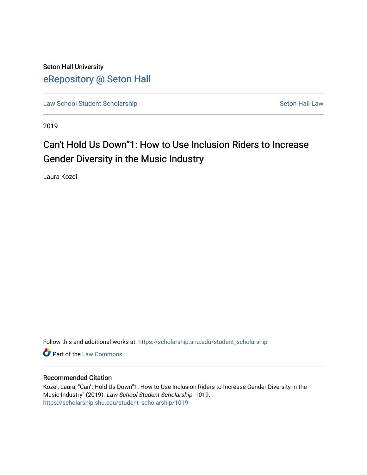Seton Hall University [eRepository @ Seton Hall](https://scholarship.shu.edu/)

[Law School Student Scholarship](https://scholarship.shu.edu/student_scholarship) Seton Hall Law

2019

# Can't Hold Us Down"1: How to Use Inclusion Riders to Increase Gender Diversity in the Music Industry

Laura Kozel

Follow this and additional works at: [https://scholarship.shu.edu/student\\_scholarship](https://scholarship.shu.edu/student_scholarship?utm_source=scholarship.shu.edu%2Fstudent_scholarship%2F1019&utm_medium=PDF&utm_campaign=PDFCoverPages) 

**C** Part of the [Law Commons](http://network.bepress.com/hgg/discipline/578?utm_source=scholarship.shu.edu%2Fstudent_scholarship%2F1019&utm_medium=PDF&utm_campaign=PDFCoverPages)

#### Recommended Citation

Kozel, Laura, "Can't Hold Us Down"1: How to Use Inclusion Riders to Increase Gender Diversity in the Music Industry" (2019). Law School Student Scholarship. 1019. [https://scholarship.shu.edu/student\\_scholarship/1019](https://scholarship.shu.edu/student_scholarship/1019?utm_source=scholarship.shu.edu%2Fstudent_scholarship%2F1019&utm_medium=PDF&utm_campaign=PDFCoverPages)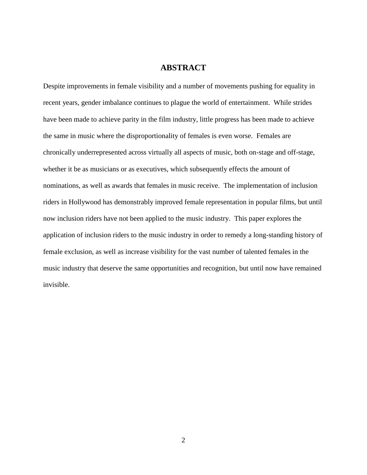#### **ABSTRACT**

Despite improvements in female visibility and a number of movements pushing for equality in recent years, gender imbalance continues to plague the world of entertainment. While strides have been made to achieve parity in the film industry, little progress has been made to achieve the same in music where the disproportionality of females is even worse. Females are chronically underrepresented across virtually all aspects of music, both on-stage and off-stage, whether it be as musicians or as executives, which subsequently effects the amount of nominations, as well as awards that females in music receive. The implementation of inclusion riders in Hollywood has demonstrably improved female representation in popular films, but until now inclusion riders have not been applied to the music industry. This paper explores the application of inclusion riders to the music industry in order to remedy a long-standing history of female exclusion, as well as increase visibility for the vast number of talented females in the music industry that deserve the same opportunities and recognition, but until now have remained invisible.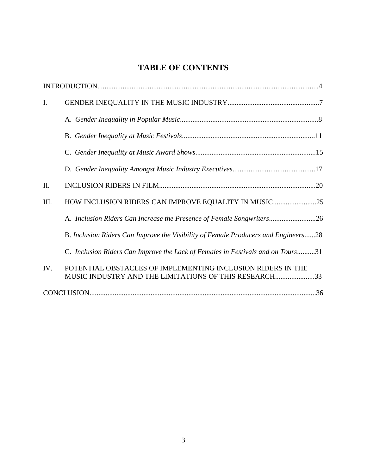## **TABLE OF CONTENTS**

| I.   |                                                                                                                      |
|------|----------------------------------------------------------------------------------------------------------------------|
|      |                                                                                                                      |
|      |                                                                                                                      |
|      |                                                                                                                      |
|      |                                                                                                                      |
| II.  |                                                                                                                      |
| III. | HOW INCLUSION RIDERS CAN IMPROVE EQUALITY IN MUSIC25                                                                 |
|      | A. Inclusion Riders Can Increase the Presence of Female Songwriters26                                                |
|      | B. Inclusion Riders Can Improve the Visibility of Female Producers and Engineers28                                   |
|      | C. Inclusion Riders Can Improve the Lack of Females in Festivals and on Tours31                                      |
| IV.  | POTENTIAL OBSTACLES OF IMPLEMENTING INCLUSION RIDERS IN THE<br>MUSIC INDUSTRY AND THE LIMITATIONS OF THIS RESEARCH33 |
|      |                                                                                                                      |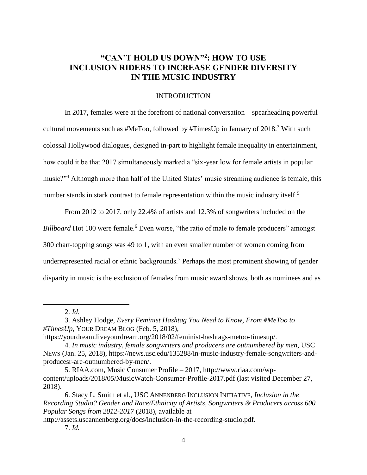### **"CAN'T HOLD US DOWN" 2 : HOW TO USE INCLUSION RIDERS TO INCREASE GENDER DIVERSITY IN THE MUSIC INDUSTRY**

#### INTRODUCTION

In 2017, females were at the forefront of national conversation – spearheading powerful cultural movements such as  $\# \text{MeToo}$ , followed by  $\# \text{TimesUp}$  in January of 2018.<sup>3</sup> With such colossal Hollywood dialogues, designed in-part to highlight female inequality in entertainment, how could it be that 2017 simultaneously marked a "six-year low for female artists in popular music?"<sup>4</sup> Although more than half of the United States' music streaming audience is female, this number stands in stark contrast to female representation within the music industry itself.<sup>5</sup>

From 2012 to 2017, only 22.4% of artists and 12.3% of songwriters included on the *Billboard* Hot 100 were female.<sup>6</sup> Even worse, "the ratio of male to female producers" amongst 300 chart-topping songs was 49 to 1, with an even smaller number of women coming from underrepresented racial or ethnic backgrounds.<sup>7</sup> Perhaps the most prominent showing of gender disparity in music is the exclusion of females from music award shows, both as nominees and as

 $\overline{a}$ 

http://assets.uscannenberg.org/docs/inclusion-in-the-recording-studio.pdf.

<sup>2.</sup> *Id.*

<sup>3.</sup> Ashley Hodge, *Every Feminist Hashtag You Need to Know, From #MeToo to #TimesUp*, YOUR DREAM BLOG (Feb. 5, 2018),

https://yourdream.liveyourdream.org/2018/02/feminist-hashtags-metoo-timesup/.

<sup>4.</sup> *In music industry, female songwriters and producers are outnumbered by men*, USC NEWS (Jan. 25, 2018), https://news.usc.edu/135288/in-music-industry-female-songwriters-andproducesr-are-outnumbered-by-men/.

<sup>5.</sup> RIAA.com, Music Consumer Profile – 2017, http://www.riaa.com/wpcontent/uploads/2018/05/MusicWatch-Consumer-Profile-2017.pdf (last visited December 27, 2018).

<sup>6.</sup> Stacy L. Smith et al., USC ANNENBERG INCLUSION INITIATIVE, *Inclusion in the Recording Studio? Gender and Race/Ethnicity of Artists, Songwriters & Producers across 600 Popular Songs from 2012-2017* (2018), available at

<sup>7.</sup> *Id.*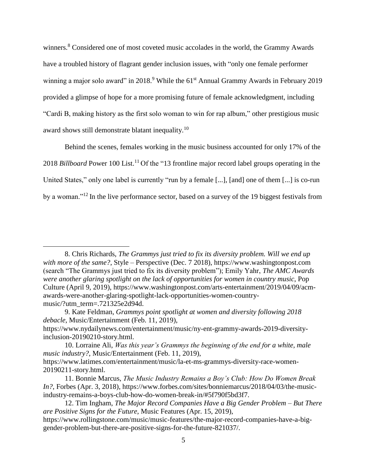winners.<sup>8</sup> Considered one of most coveted music accolades in the world, the Grammy Awards have a troubled history of flagrant gender inclusion issues, with "only one female performer winning a major solo award" in 2018.<sup>9</sup> While the 61<sup>st</sup> Annual Grammy Awards in February 2019 provided a glimpse of hope for a more promising future of female acknowledgment, including "Cardi B, making history as the first solo woman to win for rap album," other prestigious music award shows still demonstrate blatant inequality.<sup>10</sup>

Behind the scenes, females working in the music business accounted for only 17% of the 2018 *Billboard* Power 100 List.<sup>11</sup> Of the "13 frontline major record label groups operating in the United States," only one label is currently "run by a female [...], [and] one of them [...] is co-run by a woman."<sup>12</sup> In the live performance sector, based on a survey of the 19 biggest festivals from

<sup>8.</sup> Chris Richards, *The Grammys just tried to fix its diversity problem. Will we end up with more of the same?*, Style – Perspective (Dec. 7 2018), https://www.washingtonpost.com (search "The Grammys just tried to fix its diversity problem"); Emily Yahr, *The AMC Awards were another glaring spotlight on the lack of opportunities for women in country music*, Pop Culture (April 9, 2019), https://www.washingtonpost.com/arts-entertainment/2019/04/09/acmawards-were-another-glaring-spotlight-lack-opportunities-women-countrymusic/?utm\_term=.721325e2d94d.

<sup>9.</sup> Kate Feldman, *Grammys point spotlight at women and diversity following 2018 debacle*, Music/Entertainment (Feb. 11, 2019),

https://www.nydailynews.com/entertainment/music/ny-ent-grammy-awards-2019-diversityinclusion-20190210-story.html.

<sup>10.</sup> Lorraine Ali, *Was this year's Grammys the beginning of the end for a white, male music industry?*, Music/Entertainment (Feb. 11, 2019), https://www.latimes.com/entertainment/music/la-et-ms-grammys-diversity-race-women-

<sup>20190211-</sup>story.html.

<sup>11.</sup> Bonnie Marcus, *The Music Industry Remains a Boy's Club: How Do Women Break In?*, Forbes (Apr. 3, 2018), https://www.forbes.com/sites/bonniemarcus/2018/04/03/the-musicindustry-remains-a-boys-club-how-do-women-break-in/#5f790f5bd3f7.

<sup>12.</sup> Tim Ingham, *The Major Record Companies Have a Big Gender Problem – But There are Positive Signs for the Future*, Music Features (Apr. 15, 2019), https://www.rollingstone.com/music/music-features/the-major-record-companies-have-a-big-

gender-problem-but-there-are-positive-signs-for-the-future-821037/.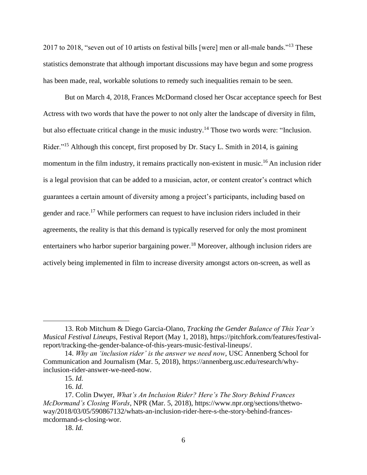2017 to 2018, "seven out of 10 artists on festival bills [were] men or all-male bands."<sup>13</sup> These statistics demonstrate that although important discussions may have begun and some progress has been made, real, workable solutions to remedy such inequalities remain to be seen.

But on March 4, 2018, Frances McDormand closed her Oscar acceptance speech for Best Actress with two words that have the power to not only alter the landscape of diversity in film, but also effectuate critical change in the music industry.<sup>14</sup> Those two words were: "Inclusion. Rider."<sup>15</sup> Although this concept, first proposed by Dr. Stacy L. Smith in 2014, is gaining momentum in the film industry, it remains practically non-existent in music.<sup>16</sup> An inclusion rider is a legal provision that can be added to a musician, actor, or content creator's contract which guarantees a certain amount of diversity among a project's participants, including based on gender and race.<sup>17</sup> While performers can request to have inclusion riders included in their agreements, the reality is that this demand is typically reserved for only the most prominent entertainers who harbor superior bargaining power.<sup>18</sup> Moreover, although inclusion riders are actively being implemented in film to increase diversity amongst actors on-screen, as well as

<sup>13.</sup> Rob Mitchum & Diego Garcia-Olano, *Tracking the Gender Balance of This Year's Musical Festival Lineups*, Festival Report (May 1, 2018), https://pitchfork.com/features/festivalreport/tracking-the-gender-balance-of-this-years-music-festival-lineups/.

<sup>14.</sup> *Why an 'inclusion rider' is the answer we need now*, USC Annenberg School for Communication and Journalism (Mar. 5, 2018), https://annenberg.usc.edu/research/whyinclusion-rider-answer-we-need-now.

<sup>15.</sup> *Id.*

<sup>16.</sup> *Id.*

<sup>17.</sup> Colin Dwyer, *What's An Inclusion Rider? Here's The Story Behind Frances McDormand's Closing Words*, NPR (Mar. 5, 2018), https://www.npr.org/sections/thetwoway/2018/03/05/590867132/whats-an-inclusion-rider-here-s-the-story-behind-francesmcdormand-s-closing-wor.

<sup>18.</sup> *Id.*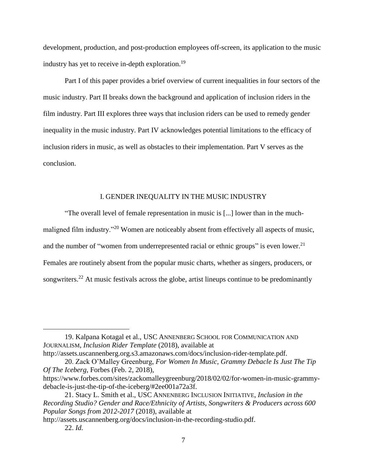development, production, and post-production employees off-screen, its application to the music industry has yet to receive in-depth exploration. 19

Part I of this paper provides a brief overview of current inequalities in four sectors of the music industry. Part II breaks down the background and application of inclusion riders in the film industry. Part III explores three ways that inclusion riders can be used to remedy gender inequality in the music industry. Part IV acknowledges potential limitations to the efficacy of inclusion riders in music, as well as obstacles to their implementation. Part V serves as the conclusion.

#### I. GENDER INEQUALITY IN THE MUSIC INDUSTRY

"The overall level of female representation in music is [...] lower than in the muchmaligned film industry."<sup>20</sup> Women are noticeably absent from effectively all aspects of music, and the number of "women from underrepresented racial or ethnic groups" is even lower.<sup>21</sup> Females are routinely absent from the popular music charts, whether as singers, producers, or songwriters.<sup>22</sup> At music festivals across the globe, artist lineups continue to be predominantly

19. Kalpana Kotagal et al., USC ANNENBERG SCHOOL FOR COMMUNICATION AND JOURNALISM, *Inclusion Rider Template* (2018), available at http://assets.uscannenberg.org.s3.amazonaws.com/docs/inclusion-rider-template.pdf.

<sup>20.</sup> Zack O'Malley Greenburg, *For Women In Music, Grammy Debacle Is Just The Tip Of The Iceberg*, Forbes (Feb. 2, 2018),

https://www.forbes.com/sites/zackomalleygreenburg/2018/02/02/for-women-in-music-grammydebacle-is-just-the-tip-of-the-iceberg/#2ee001a72a3f.

<sup>21.</sup> Stacy L. Smith et al., USC ANNENBERG INCLUSION INITIATIVE, *Inclusion in the Recording Studio? Gender and Race/Ethnicity of Artists, Songwriters & Producers across 600 Popular Songs from 2012-2017* (2018), available at

http://assets.uscannenberg.org/docs/inclusion-in-the-recording-studio.pdf. 22. *Id.*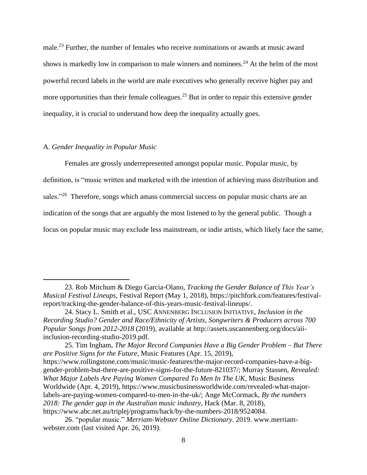male.<sup>23</sup> Further, the number of females who receive nominations or awards at music award shows is markedly low in comparison to male winners and nominees.<sup>24</sup> At the helm of the most powerful record labels in the world are male executives who generally receive higher pay and more opportunities than their female colleagues.<sup>25</sup> But in order to repair this extensive gender inequality, it is crucial to understand how deep the inequality actually goes.

#### A. *Gender Inequality in Popular Music*

 $\overline{a}$ 

Females are grossly underrepresented amongst popular music. Popular music, by definition, is "music written and marketed with the intention of achieving mass distribution and sales."<sup>26</sup> Therefore, songs which amass commercial success on popular music charts are an indication of the songs that are arguably the most listened to by the general public. Though a focus on popular music may exclude less mainstream, or indie artists, which likely face the same,

<sup>23.</sup> Rob Mitchum & Diego Garcia-Olano, *Tracking the Gender Balance of This Year's Musical Festival Lineups*, Festival Report (May 1, 2018), https://pitchfork.com/features/festivalreport/tracking-the-gender-balance-of-this-years-music-festival-lineups/.

<sup>24.</sup> Stacy L. Smith et al., USC ANNENBERG INCLUSION INITIATIVE, *Inclusion in the Recording Studio? Gender and Race/Ethnicity of Artists, Songwriters & Producers across 700 Popular Songs from 2012-2018* (2019), available at http://assets.uscannenberg.org/docs/aiiinclusion-recording-studio-2019.pdf.

<sup>25.</sup> Tim Ingham, *The Major Record Companies Have a Big Gender Problem – But There are Positive Signs for the Future*, Music Features (Apr. 15, 2019), https://www.rollingstone.com/music/music-features/the-major-record-companies-have-a-biggender-problem-but-there-are-positive-signs-for-the-future-821037/; Murray Stassen, *Revealed: What Major Labels Are Paying Women Compared To Men In The UK*, Music Business Worldwide (Apr. 4, 2019), https://www.musicbusinessworldwide.com/revealed-what-majorlabels-are-paying-women-compared-to-men-in-the-uk/; Ange McCormack, *By the numbers 2018: The gender gap in the Australian music industry*, Hack (Mar. 8, 2018), https://www.abc.net.au/triplej/programs/hack/by-the-numbers-2018/9524084.

<sup>26. &</sup>quot;popular music." *Merriam-Webster Online Dictionary*. 2019. www.merriamwebster.com (last visited Apr. 26, 2019).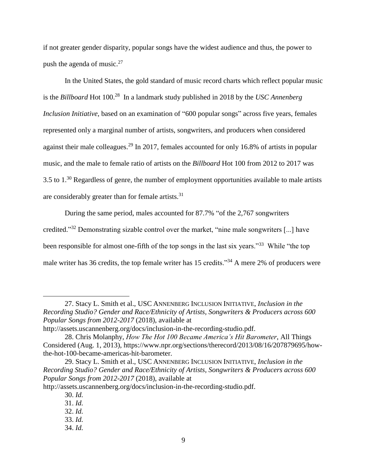if not greater gender disparity, popular songs have the widest audience and thus, the power to push the agenda of music. $27$ 

In the United States, the gold standard of music record charts which reflect popular music is the *Billboard* Hot 100.<sup>28</sup> In a landmark study published in 2018 by the *USC Annenberg Inclusion Initiative*, based on an examination of "600 popular songs" across five years, females represented only a marginal number of artists, songwriters, and producers when considered against their male colleagues.<sup>29</sup> In 2017, females accounted for only 16.8% of artists in popular music, and the male to female ratio of artists on the *Billboard* Hot 100 from 2012 to 2017 was  $3.5$  to  $1.^{30}$  Regardless of genre, the number of employment opportunities available to male artists are considerably greater than for female artists.<sup>31</sup>

During the same period, males accounted for 87.7% "of the 2,767 songwriters credited."<sup>32</sup> Demonstrating sizable control over the market, "nine male songwriters [...] have been responsible for almost one-fifth of the top songs in the last six years."<sup>33</sup> While "the top male writer has 36 credits, the top female writer has 15 credits."<sup>34</sup> A mere 2% of producers were

<sup>27.</sup> Stacy L. Smith et al., USC ANNENBERG INCLUSION INITIATIVE, *Inclusion in the Recording Studio? Gender and Race/Ethnicity of Artists, Songwriters & Producers across 600 Popular Songs from 2012-2017* (2018), available at

http://assets.uscannenberg.org/docs/inclusion-in-the-recording-studio.pdf.

<sup>28.</sup> Chris Molanphy, *How The Hot 100 Became America's Hit Barometer*, All Things Considered (Aug. 1, 2013), https://www.npr.org/sections/therecord/2013/08/16/207879695/howthe-hot-100-became-americas-hit-barometer.

<sup>29.</sup> Stacy L. Smith et al., USC ANNENBERG INCLUSION INITIATIVE, *Inclusion in the Recording Studio? Gender and Race/Ethnicity of Artists, Songwriters & Producers across 600 Popular Songs from 2012-2017* (2018), available at

http://assets.uscannenberg.org/docs/inclusion-in-the-recording-studio.pdf.

<sup>30.</sup> *Id.*

<sup>31.</sup> *Id.*

<sup>32.</sup> *Id.*

<sup>33.</sup> *Id.*

<sup>34.</sup> *Id.*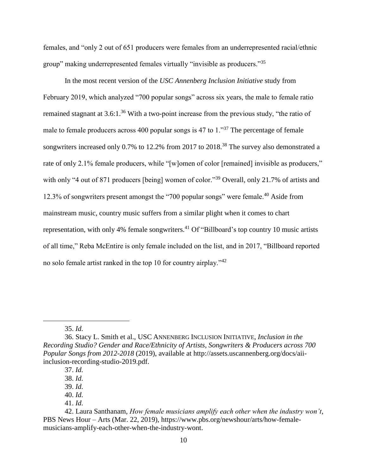females, and "only 2 out of 651 producers were females from an underrepresented racial/ethnic group" making underrepresented females virtually "invisible as producers."<sup>35</sup>

In the most recent version of the *USC Annenberg Inclusion Initiative* study from February 2019, which analyzed "700 popular songs" across six years, the male to female ratio remained stagnant at 3.6:1.<sup>36</sup> With a two-point increase from the previous study, "the ratio of male to female producers across 400 popular songs is 47 to 1."<sup>37</sup> The percentage of female songwriters increased only 0.7% to 12.2% from 2017 to 2018.<sup>38</sup> The survey also demonstrated a rate of only 2.1% female producers, while "[w]omen of color [remained] invisible as producers," with only "4 out of 871 producers [being] women of color."<sup>39</sup> Overall, only 21.7% of artists and 12.3% of songwriters present amongst the "700 popular songs" were female.<sup>40</sup> Aside from mainstream music, country music suffers from a similar plight when it comes to chart representation, with only 4% female songwriters.<sup>41</sup> Of "Billboard's top country 10 music artists of all time," Reba McEntire is only female included on the list, and in 2017, "Billboard reported no solo female artist ranked in the top 10 for country airplay."<sup>42</sup>

<sup>35.</sup> *Id.*

<sup>36.</sup> Stacy L. Smith et al., USC ANNENBERG INCLUSION INITIATIVE, *Inclusion in the Recording Studio? Gender and Race/Ethnicity of Artists, Songwriters & Producers across 700 Popular Songs from 2012-2018* (2019), available at http://assets.uscannenberg.org/docs/aiiinclusion-recording-studio-2019.pdf.

<sup>37.</sup> *Id.*

<sup>38.</sup> *Id.*

<sup>39.</sup> *Id.*

<sup>40.</sup> *Id.*

<sup>41.</sup> *Id.*

<sup>42.</sup> Laura Santhanam, *How female musicians amplify each other when the industry won't*, PBS News Hour – Arts (Mar. 22, 2019), https://www.pbs.org/newshour/arts/how-femalemusicians-amplify-each-other-when-the-industry-wont.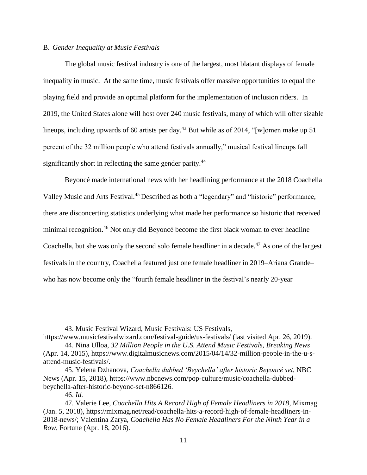#### B. *Gender Inequality at Music Festivals*

The global music festival industry is one of the largest, most blatant displays of female inequality in music. At the same time, music festivals offer massive opportunities to equal the playing field and provide an optimal platform for the implementation of inclusion riders. In 2019, the United States alone will host over 240 music festivals, many of which will offer sizable lineups, including upwards of 60 artists per day.<sup>43</sup> But while as of 2014, "[w]omen make up 51 percent of the 32 million people who attend festivals annually," musical festival lineups fall significantly short in reflecting the same gender parity.<sup>44</sup>

Beyoncé made international news with her headlining performance at the 2018 Coachella Valley Music and Arts Festival.<sup>45</sup> Described as both a "legendary" and "historic" performance, there are disconcerting statistics underlying what made her performance so historic that received minimal recognition. <sup>46</sup> Not only did Beyoncé become the first black woman to ever headline Coachella, but she was only the second solo female headliner in a decade.<sup>47</sup> As one of the largest festivals in the country, Coachella featured just one female headliner in 2019–Ariana Grande– who has now become only the "fourth female headliner in the festival's nearly 20-year

<sup>43.</sup> Music Festival Wizard, Music Festivals: US Festivals,

https://www.musicfestivalwizard.com/festival-guide/us-festivals/ (last visited Apr. 26, 2019). 44. Nina Ulloa, *32 Million People in the U.S. Attend Music Festivals, Breaking News* 

<sup>(</sup>Apr. 14, 2015), https://www.digitalmusicnews.com/2015/04/14/32-million-people-in-the-u-sattend-music-festivals/.

<sup>45.</sup> Yelena Dzhanova, *Coachella dubbed 'Beychella' after historic Beyoncé set*, NBC News (Apr. 15, 2018), https://www.nbcnews.com/pop-culture/music/coachella-dubbedbeychella-after-historic-beyonc-set-n866126.

<sup>46.</sup> *Id.*

<sup>47.</sup> Valerie Lee, *Coachella Hits A Record High of Female Headliners in 2018*, Mixmag (Jan. 5, 2018), https://mixmag.net/read/coachella-hits-a-record-high-of-female-headliners-in-2018-news/; Valentina Zarya, *Coachella Has No Female Headliners For the Ninth Year in a Row*, Fortune (Apr. 18, 2016).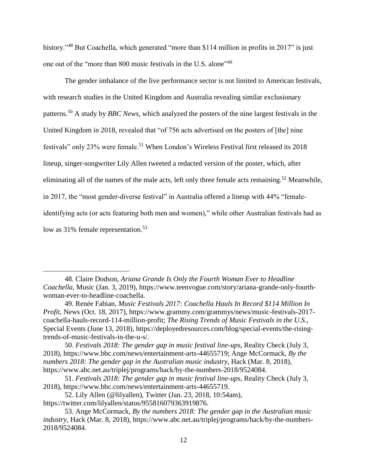history."<sup>48</sup> But Coachella, which generated "more than \$114 million in profits in 2017" is just one out of the "more than 800 music festivals in the U.S. alone"<sup>49</sup>

The gender imbalance of the live performance sector is not limited to American festivals, with research studies in the United Kingdom and Australia revealing similar exclusionary patterns. <sup>50</sup> A study by *BBC News*, which analyzed the posters of the nine largest festivals in the United Kingdom in 2018, revealed that "of 756 acts advertised on the posters of [the] nine festivals" only 23% were female.<sup>51</sup> When London's Wireless Festival first released its 2018 lineup, singer-songwriter Lily Allen tweeted a redacted version of the poster, which, after eliminating all of the names of the male acts, left only three female acts remaining.<sup>52</sup> Meanwhile, in 2017, the "most gender-diverse festival" in Australia offered a lineup with 44% "femaleidentifying acts (or acts featuring both men and women)," while other Australian festivals had as low as 31% female representation.<sup>53</sup>

<sup>48.</sup> Claire Dodson, *Ariana Grande Is Only the Fourth Woman Ever to Headline Coachella*, Music (Jan. 3, 2019), https://www.teenvogue.com/story/ariana-grande-only-fourthwoman-ever-to-headline-coachella.

<sup>49.</sup> Renée Fabian, *Music Festivals 2017: Coachella Hauls In Record \$114 Million In Profit*, News (Oct. 18, 2017), https://www.grammy.com/grammys/news/music-festivals-2017 coachella-hauls-record-114-million-profit; *The Rising Trends of Music Festivals in the U.S.*, Special Events (June 13, 2018), https://deployedresources.com/blog/special-events/the-risingtrends-of-music-festivals-in-the-u-s/.

<sup>50.</sup> *Festivals 2018: The gender gap in music festival line-ups*, Reality Check (July 3, 2018), https://www.bbc.com/news/entertainment-arts-44655719; Ange McCormack, *By the numbers 2018: The gender gap in the Australian music industry*, Hack (Mar. 8, 2018), https://www.abc.net.au/triplej/programs/hack/by-the-numbers-2018/9524084.

<sup>51.</sup> *Festivals 2018: The gender gap in music festival line-ups*, Reality Check (July 3, 2018), https://www.bbc.com/news/entertainment-arts-44655719.

<sup>52.</sup> Lily Allen (@lilyallen), Twitter (Jan. 23, 2018, 10:54am), https://twitter.com/lilyallen/status/955816079363919876.

<sup>53.</sup> Ange McCormack, *By the numbers 2018: The gender gap in the Australian music industry*, Hack (Mar. 8, 2018), https://www.abc.net.au/triplej/programs/hack/by-the-numbers-2018/9524084.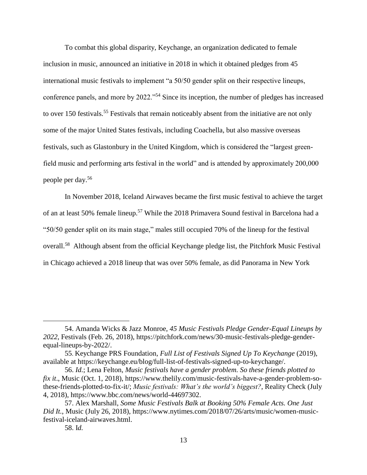To combat this global disparity, Keychange, an organization dedicated to female inclusion in music, announced an initiative in 2018 in which it obtained pledges from 45 international music festivals to implement "a 50/50 gender split on their respective lineups, conference panels, and more by 2022."<sup>54</sup> Since its inception, the number of pledges has increased to over 150 festivals.<sup>55</sup> Festivals that remain noticeably absent from the initiative are not only some of the major United States festivals, including Coachella, but also massive overseas festivals, such as Glastonbury in the United Kingdom, which is considered the "largest greenfield music and performing arts festival in the world" and is attended by approximately 200,000 people per day. 56

In November 2018, Iceland Airwaves became the first music festival to achieve the target of an at least 50% female lineup.<sup>57</sup> While the 2018 Primavera Sound festival in Barcelona had a "50/50 gender split on its main stage," males still occupied 70% of the lineup for the festival overall.<sup>58</sup> Although absent from the official Keychange pledge list, the Pitchfork Music Festival in Chicago achieved a 2018 lineup that was over 50% female, as did Panorama in New York

<sup>54.</sup> Amanda Wicks & Jazz Monroe, *45 Music Festivals Pledge Gender-Equal Lineups by 2022*, Festivals (Feb. 26, 2018), https://pitchfork.com/news/30-music-festivals-pledge-genderequal-lineups-by-2022/.

<sup>55</sup>. Keychange PRS Foundation*, Full List of Festivals Signed Up To Keychange* (2019), available at https://keychange.eu/blog/full-list-of-festivals-signed-up-to-keychange/.

<sup>56.</sup> *Id.*; Lena Felton, *Music festivals have a gender problem. So these friends plotted to fix it*., Music (Oct. 1, 2018), https://www.thelily.com/music-festivals-have-a-gender-problem-sothese-friends-plotted-to-fix-it/; *Music festivals: What's the world's biggest?*, Reality Check (July 4, 2018), https://www.bbc.com/news/world-44697302.

<sup>57.</sup> Alex Marshall, *Some Music Festivals Balk at Booking 50% Female Acts. One Just Did It.*, Music (July 26, 2018), https://www.nytimes.com/2018/07/26/arts/music/women-musicfestival-iceland-airwaves.html.

<sup>58.</sup> I*d.*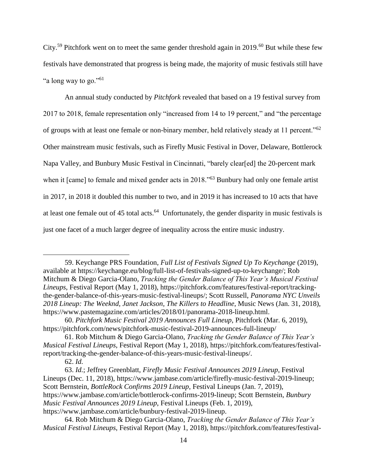City.<sup>59</sup> Pitchfork went on to meet the same gender threshold again in 2019.<sup>60</sup> But while these few festivals have demonstrated that progress is being made, the majority of music festivals still have "a long way to go."<sup>61</sup>

An annual study conducted by *Pitchfork* revealed that based on a 19 festival survey from 2017 to 2018, female representation only "increased from 14 to 19 percent," and "the percentage of groups with at least one female or non-binary member, held relatively steady at 11 percent."<sup>62</sup> Other mainstream music festivals, such as Firefly Music Festival in Dover, Delaware, Bottlerock Napa Valley, and Bunbury Music Festival in Cincinnati, "barely clear[ed] the 20-percent mark when it [came] to female and mixed gender acts in 2018."<sup>63</sup> Bunbury had only one female artist in 2017, in 2018 it doubled this number to two, and in 2019 it has increased to 10 acts that have at least one female out of 45 total acts.<sup>64</sup> Unfortunately, the gender disparity in music festivals is just one facet of a much larger degree of inequality across the entire music industry.

<sup>59.</sup> Keychange PRS Foundation*, Full List of Festivals Signed Up To Keychange* (2019), available at https://keychange.eu/blog/full-list-of-festivals-signed-up-to-keychange/; Rob Mitchum & Diego Garcia-Olano, *Tracking the Gender Balance of This Year's Musical Festival Lineups*, Festival Report (May 1, 2018), https://pitchfork.com/features/festival-report/trackingthe-gender-balance-of-this-years-music-festival-lineups/; Scott Russell, *Panorama NYC Unveils 2018 Lineup: The Weeknd, Janet Jackson, The Killers to Headline*, Music News (Jan. 31, 2018), https://www.pastemagazine.com/articles/2018/01/panorama-2018-lineup.html.

<sup>60.</sup> *Pitchfork Music Festival 2019 Announces Full Lineup*, Pitchfork (Mar. 6, 2019), https://pitchfork.com/news/pitchfork-music-festival-2019-announces-full-lineup/

<sup>61.</sup> Rob Mitchum & Diego Garcia-Olano, *Tracking the Gender Balance of This Year's Musical Festival Lineups*, Festival Report (May 1, 2018), https://pitchfork.com/features/festivalreport/tracking-the-gender-balance-of-this-years-music-festival-lineups/.

<sup>62.</sup> *Id.*

<sup>63.</sup> *Id.*; Jeffrey Greenblatt, *Firefly Music Festival Announces 2019 Lineup*, Festival Lineups (Dec. 11, 2018), https://www.jambase.com/article/firefly-music-festival-2019-lineup; Scott Bernstein, *BottleRock Confirms 2019 Lineup*, Festival Lineups (Jan. 7, 2019), https://www.jambase.com/article/bottlerock-confirms-2019-lineup; Scott Bernstein, *Bunbury Music Festival Announces 2019 Lineup*, Festival Lineups (Feb. 1, 2019), https://www.jambase.com/article/bunbury-festival-2019-lineup.

<sup>64.</sup> Rob Mitchum & Diego Garcia-Olano, *Tracking the Gender Balance of This Year's Musical Festival Lineups*, Festival Report (May 1, 2018), https://pitchfork.com/features/festival-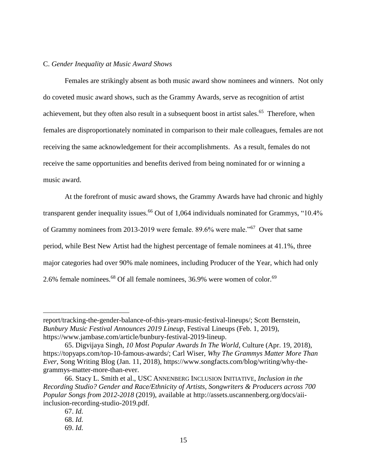#### C. *Gender Inequality at Music Award Shows*

Females are strikingly absent as both music award show nominees and winners. Not only do coveted music award shows, such as the Grammy Awards, serve as recognition of artist achievement, but they often also result in a subsequent boost in artist sales.<sup>65</sup> Therefore, when females are disproportionately nominated in comparison to their male colleagues, females are not receiving the same acknowledgement for their accomplishments. As a result, females do not receive the same opportunities and benefits derived from being nominated for or winning a music award.

At the forefront of music award shows, the Grammy Awards have had chronic and highly transparent gender inequality issues.<sup>66</sup> Out of 1,064 individuals nominated for Grammys, "10.4% of Grammy nominees from 2013-2019 were female. 89.6% were male."<sup>67</sup> Over that same period, while Best New Artist had the highest percentage of female nominees at 41.1%, three major categories had over 90% male nominees, including Producer of the Year, which had only 2.6% female nominees. $^{68}$  Of all female nominees, 36.9% were women of color. $^{69}$ 

report/tracking-the-gender-balance-of-this-years-music-festival-lineups/; Scott Bernstein, *Bunbury Music Festival Announces 2019 Lineup*, Festival Lineups (Feb. 1, 2019), https://www.jambase.com/article/bunbury-festival-2019-lineup.

<sup>65.</sup> Digvijaya Singh, *10 Most Popular Awards In The World*, Culture (Apr. 19, 2018), https://topyaps.com/top-10-famous-awards/; Carl Wiser, *Why The Grammys Matter More Than Ever*, Song Writing Blog (Jan. 11, 2018), https://www.songfacts.com/blog/writing/why-thegrammys-matter-more-than-ever.

<sup>66.</sup> Stacy L. Smith et al., USC ANNENBERG INCLUSION INITIATIVE, *Inclusion in the Recording Studio? Gender and Race/Ethnicity of Artists, Songwriters & Producers across 700 Popular Songs from 2012-2018* (2019), available at http://assets.uscannenberg.org/docs/aiiinclusion-recording-studio-2019.pdf.

<sup>67.</sup> *Id.*

<sup>68.</sup> *Id.*

<sup>69.</sup> *Id.*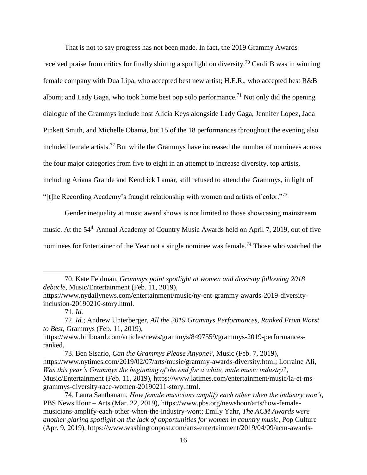That is not to say progress has not been made. In fact, the 2019 Grammy Awards

received praise from critics for finally shining a spotlight on diversity.<sup>70</sup> Cardi B was in winning female company with Dua Lipa, who accepted best new artist; H.E.R., who accepted best R&B album; and Lady Gaga, who took home best pop solo performance.<sup>71</sup> Not only did the opening dialogue of the Grammys include host Alicia Keys alongside Lady Gaga, Jennifer Lopez, Jada Pinkett Smith, and Michelle Obama, but 15 of the 18 performances throughout the evening also included female artists. <sup>72</sup> But while the Grammys have increased the number of nominees across the four major categories from five to eight in an attempt to increase diversity, top artists, including Ariana Grande and Kendrick Lamar, still refused to attend the Grammys, in light of "[t]he Recording Academy's fraught relationship with women and artists of color."<sup>73</sup>

Gender inequality at music award shows is not limited to those showcasing mainstream music. At the 54<sup>th</sup> Annual Academy of Country Music Awards held on April 7, 2019, out of five nominees for Entertainer of the Year not a single nominee was female.<sup>74</sup> Those who watched the

<sup>70.</sup> Kate Feldman, *Grammys point spotlight at women and diversity following 2018 debacle*, Music/Entertainment (Feb. 11, 2019),

https://www.nydailynews.com/entertainment/music/ny-ent-grammy-awards-2019-diversityinclusion-20190210-story.html.

<sup>71.</sup> *Id.*

<sup>72.</sup> *Id.*; Andrew Unterberger, *All the 2019 Grammys Performances, Ranked From Worst to Best*, Grammys (Feb. 11, 2019),

https://www.billboard.com/articles/news/grammys/8497559/grammys-2019-performancesranked.

<sup>73.</sup> Ben Sisario, *Can the Grammys Please Anyone?*, Music (Feb. 7, 2019), https://www.nytimes.com/2019/02/07/arts/music/grammy-awards-diversity.html; Lorraine Ali, *Was this year's Grammys the beginning of the end for a white, male music industry?*, Music/Entertainment (Feb. 11, 2019), https://www.latimes.com/entertainment/music/la-et-msgrammys-diversity-race-women-20190211-story.html.

<sup>74.</sup> Laura Santhanam, *How female musicians amplify each other when the industry won't*, PBS News Hour – Arts (Mar. 22, 2019), https://www.pbs.org/newshour/arts/how-femalemusicians-amplify-each-other-when-the-industry-wont; Emily Yahr, *The ACM Awards were another glaring spotlight on the lack of opportunities for women in country music*, Pop Culture (Apr. 9, 2019), https://www.washingtonpost.com/arts-entertainment/2019/04/09/acm-awards-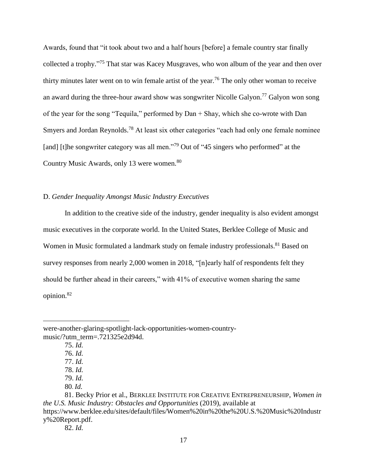Awards, found that "it took about two and a half hours [before] a female country star finally collected a trophy."<sup>75</sup> That star was Kacey Musgraves, who won album of the year and then over thirty minutes later went on to win female artist of the year.<sup>76</sup> The only other woman to receive an award during the three-hour award show was songwriter Nicolle Galyon.<sup>77</sup> Galyon won song of the year for the song "Tequila," performed by Dan + Shay, which she co-wrote with Dan Smyers and Jordan Reynolds.<sup>78</sup> At least six other categories "each had only one female nominee [and] [t]he songwriter category was all men."<sup>79</sup> Out of "45 singers who performed" at the Country Music Awards, only 13 were women.<sup>80</sup>

#### D. *Gender Inequality Amongst Music Industry Executives*

In addition to the creative side of the industry, gender inequality is also evident amongst music executives in the corporate world. In the United States, Berklee College of Music and Women in Music formulated a landmark study on female industry professionals.<sup>81</sup> Based on survey responses from nearly 2,000 women in 2018, "[n]early half of respondents felt they should be further ahead in their careers," with 41% of executive women sharing the same opinion. 82

were-another-glaring-spotlight-lack-opportunities-women-countrymusic/?utm\_term=.721325e2d94d.

<sup>75.</sup> *Id.*

<sup>76.</sup> *Id.*

<sup>77.</sup> *Id.*

<sup>78.</sup> *Id.*

<sup>79.</sup> *Id.*

<sup>80</sup>. *Id.* 

<sup>81.</sup> Becky Prior et al., BERKLEE INSTITUTE FOR CREATIVE ENTREPRENEURSHIP, *Women in the U.S. Music Industry: Obstacles and Opportunities* (2019), available at https://www.berklee.edu/sites/default/files/Women%20in%20the%20U.S.%20Music%20Industr y%20Report.pdf.

<sup>82.</sup> *Id.*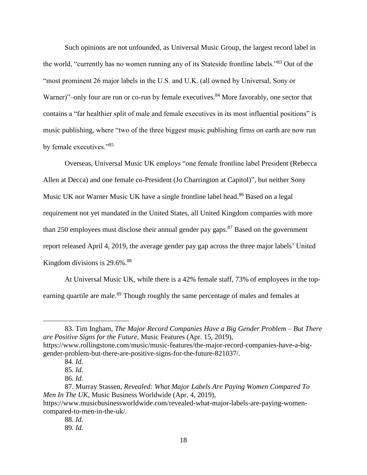Such opinions are not unfounded, as Universal Music Group, the largest record label in the world, "currently has no women running any of its Stateside frontline labels."<sup>83</sup> Out of the "most prominent 26 major labels in the U.S. and U.K. (all owned by Universal, Sony or Warner)"–only four are run or co-run by female executives. $84$  More favorably, one sector that contains a "far healthier split of male and female executives in its most influential positions" is music publishing, where "two of the three biggest music publishing firms on earth are now run by female executives."<sup>85</sup>

Overseas, Universal Music UK employs "one female frontline label President (Rebecca Allen at Decca) and one female co-President (Jo Charrington at Capitol)", but neither Sony Music UK nor Warner Music UK have a single frontline label head.<sup>86</sup> Based on a legal requirement not yet mandated in the United States, all United Kingdom companies with more than 250 employees must disclose their annual gender pay gaps. $87$  Based on the government report released April 4, 2019, the average gender pay gap across the three major labels' United Kingdom divisions is  $29.6\%$ <sup>88</sup>

At Universal Music UK, while there is a 42% female staff, 73% of employees in the topearning quartile are male.<sup>89</sup> Though roughly the same percentage of males and females at

<sup>83.</sup> Tim Ingham, *The Major Record Companies Have a Big Gender Problem – But There are Positive Signs for the Future*, Music Features (Apr. 15, 2019), https://www.rollingstone.com/music/music-features/the-major-record-companies-have-a-biggender-problem-but-there-are-positive-signs-for-the-future-821037/.

<sup>84.</sup> *Id.*

<sup>85.</sup> *Id.*

<sup>86.</sup> *Id.*

<sup>87.</sup> Murray Stassen, *Revealed: What Major Labels Are Paying Women Compared To Men In The UK*, Music Business Worldwide (Apr. 4, 2019),

https://www.musicbusinessworldwide.com/revealed-what-major-labels-are-paying-womencompared-to-men-in-the-uk/.

<sup>88.</sup> *Id.*

<sup>89.</sup> *Id.*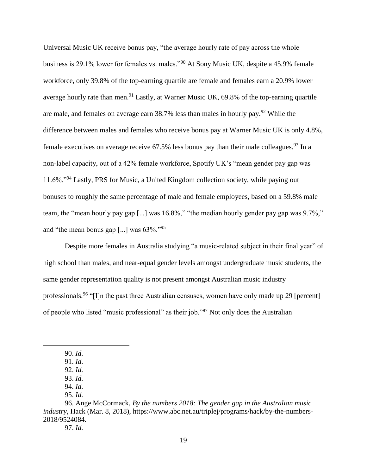Universal Music UK receive bonus pay, "the average hourly rate of pay across the whole business is 29.1% lower for females vs. males."<sup>90</sup> At Sony Music UK, despite a 45.9% female workforce, only 39.8% of the top-earning quartile are female and females earn a 20.9% lower average hourly rate than men.<sup>91</sup> Lastly, at Warner Music UK, 69.8% of the top-earning quartile are male, and females on average earn 38.7% less than males in hourly pay.<sup>92</sup> While the difference between males and females who receive bonus pay at Warner Music UK is only 4.8%, female executives on average receive  $67.5\%$  less bonus pay than their male colleagues.<sup>93</sup> In a non-label capacity, out of a 42% female workforce, Spotify UK's "mean gender pay gap was 11.6%."<sup>94</sup> Lastly, PRS for Music, a United Kingdom collection society, while paying out bonuses to roughly the same percentage of male and female employees, based on a 59.8% male team, the "mean hourly pay gap [...] was 16.8%," "the median hourly gender pay gap was 9.7%," and "the mean bonus gap [...] was  $63\%$ ."<sup>95</sup>

Despite more females in Australia studying "a music-related subject in their final year" of high school than males, and near-equal gender levels amongst undergraduate music students, the same gender representation quality is not present amongst Australian music industry professionals.<sup>96</sup> "[I]n the past three Australian censuses, women have only made up 29 [percent] of people who listed "music professional" as their job."<sup>97</sup> Not only does the Australian

<sup>90.</sup> *Id.*

<sup>91.</sup> *Id.*

<sup>92.</sup> *Id.* 93. *Id.*

<sup>94.</sup> *Id.*

<sup>95.</sup> *Id.*

<sup>96.</sup> Ange McCormack, *By the numbers 2018: The gender gap in the Australian music industry*, Hack (Mar. 8, 2018), https://www.abc.net.au/triplej/programs/hack/by-the-numbers-2018/9524084.

<sup>97.</sup> *Id.*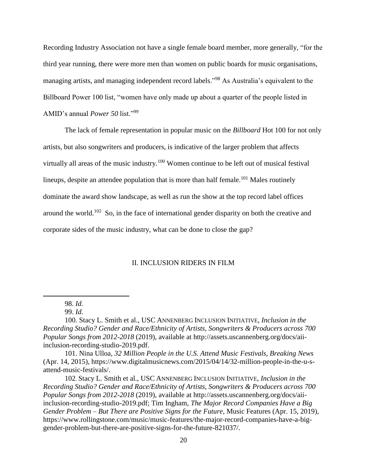Recording Industry Association not have a single female board member, more generally, "for the third year running, there were more men than women on public boards for music organisations, managing artists, and managing independent record labels."<sup>98</sup> As Australia's equivalent to the Billboard Power 100 list, "women have only made up about a quarter of the people listed in AMID's annual *Power 50* list."<sup>99</sup>

The lack of female representation in popular music on the *Billboard* Hot 100 for not only artists, but also songwriters and producers, is indicative of the larger problem that affects virtually all areas of the music industry.<sup>100</sup> Women continue to be left out of musical festival lineups, despite an attendee population that is more than half female.<sup>101</sup> Males routinely dominate the award show landscape, as well as run the show at the top record label offices around the world.<sup>102</sup> So, in the face of international gender disparity on both the creative and corporate sides of the music industry, what can be done to close the gap?

#### II. INCLUSION RIDERS IN FILM

 $\overline{a}$ 

101. Nina Ulloa, *32 Million People in the U.S. Attend Music Festivals, Breaking News*  (Apr. 14, 2015), https://www.digitalmusicnews.com/2015/04/14/32-million-people-in-the-u-sattend-music-festivals/.

102. Stacy L. Smith et al., USC ANNENBERG INCLUSION INITIATIVE, *Inclusion in the Recording Studio? Gender and Race/Ethnicity of Artists, Songwriters & Producers across 700 Popular Songs from 2012-2018* (2019), available at http://assets.uscannenberg.org/docs/aiiinclusion-recording-studio-2019.pdf; Tim Ingham, *The Major Record Companies Have a Big Gender Problem – But There are Positive Signs for the Future*, Music Features (Apr. 15, 2019), https://www.rollingstone.com/music/music-features/the-major-record-companies-have-a-biggender-problem-but-there-are-positive-signs-for-the-future-821037/.

<sup>98.</sup> *Id.*

<sup>99.</sup> *Id.*

<sup>100.</sup> Stacy L. Smith et al., USC ANNENBERG INCLUSION INITIATIVE, *Inclusion in the Recording Studio? Gender and Race/Ethnicity of Artists, Songwriters & Producers across 700 Popular Songs from 2012-2018* (2019), available at http://assets.uscannenberg.org/docs/aiiinclusion-recording-studio-2019.pdf.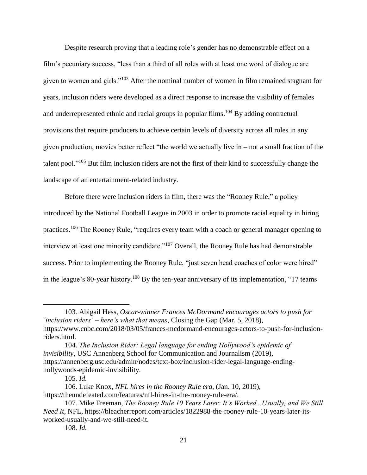Despite research proving that a leading role's gender has no demonstrable effect on a film's pecuniary success, "less than a third of all roles with at least one word of dialogue are given to women and girls."<sup>103</sup> After the nominal number of women in film remained stagnant for years, inclusion riders were developed as a direct response to increase the visibility of females and underrepresented ethnic and racial groups in popular films.<sup>104</sup> By adding contractual provisions that require producers to achieve certain levels of diversity across all roles in any given production, movies better reflect "the world we actually live in – not a small fraction of the talent pool."<sup>105</sup> But film inclusion riders are not the first of their kind to successfully change the landscape of an entertainment-related industry.

Before there were inclusion riders in film, there was the "Rooney Rule," a policy introduced by the National Football League in 2003 in order to promote racial equality in hiring practices.<sup>106</sup> The Rooney Rule, "requires every team with a coach or general manager opening to interview at least one minority candidate."<sup>107</sup> Overall, the Rooney Rule has had demonstrable success. Prior to implementing the Rooney Rule, "just seven head coaches of color were hired" in the league's 80-year history.<sup>108</sup> By the ten-year anniversary of its implementation, "17 teams

<sup>103.</sup> Abigail Hess, *Oscar-winner Frances McDormand encourages actors to push for 'inclusion riders' – here's what that means*, Closing the Gap (Mar. 5, 2018), https://www.cnbc.com/2018/03/05/frances-mcdormand-encourages-actors-to-push-for-inclusionriders.html.

<sup>104.</sup> *The Inclusion Rider: Legal language for ending Hollywood's epidemic of invisibility*, USC Annenberg School for Communication and Journalism (2019), https://annenberg.usc.edu/admin/nodes/text-box/inclusion-rider-legal-language-endinghollywoods-epidemic-invisibility.

<sup>105.</sup> *Id.* 

<sup>106.</sup> Luke Knox, *NFL hires in the Rooney Rule era*, (Jan. 10, 2019), https://theundefeated.com/features/nfl-hires-in-the-rooney-rule-era/.

<sup>107.</sup> Mike Freeman, *The Rooney Rule 10 Years Later: It's Worked...Usually, and We Still Need It*, NFL, https://bleacherreport.com/articles/1822988-the-rooney-rule-10-years-later-itsworked-usually-and-we-still-need-it.

<sup>108.</sup> *Id.*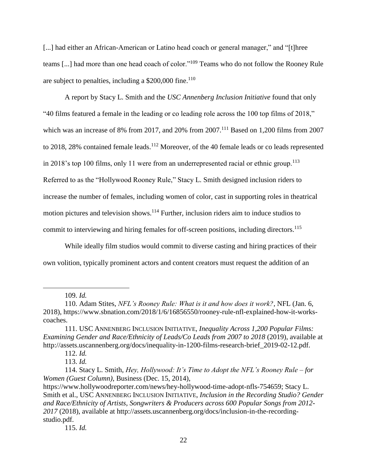[...] had either an African-American or Latino head coach or general manager," and "[t]hree teams [...] had more than one head coach of color."<sup>109</sup> Teams who do not follow the Rooney Rule are subject to penalties, including a  $$200,000$  fine.<sup>110</sup>

A report by Stacy L. Smith and the *USC Annenberg Inclusion Initiative* found that only "40 films featured a female in the leading or co leading role across the 100 top films of 2018," which was an increase of 8% from 2017, and 20% from 2007.<sup>111</sup> Based on 1,200 films from 2007 to 2018, 28% contained female leads.<sup>112</sup> Moreover, of the 40 female leads or co leads represented in 2018's top 100 films, only 11 were from an underrepresented racial or ethnic group.<sup>113</sup> Referred to as the "Hollywood Rooney Rule," Stacy L. Smith designed inclusion riders to increase the number of females, including women of color, cast in supporting roles in theatrical motion pictures and television shows.<sup>114</sup> Further, inclusion riders aim to induce studios to commit to interviewing and hiring females for off-screen positions, including directors. 115

While ideally film studios would commit to diverse casting and hiring practices of their own volition, typically prominent actors and content creators must request the addition of an

109. *Id.*

<sup>110.</sup> Adam Stites, *NFL's Rooney Rule: What is it and how does it work?*, NFL (Jan. 6, 2018), https://www.sbnation.com/2018/1/6/16856550/rooney-rule-nfl-explained-how-it-workscoaches.

<sup>111.</sup> USC ANNENBERG INCLUSION INITIATIVE, *Inequality Across 1,200 Popular Films: Examining Gender and Race/Ethnicity of Leads/Co Leads from 2007 to 2018* (2019), available at http://assets.uscannenberg.org/docs/inequality-in-1200-films-research-brief\_2019-02-12.pdf.

<sup>112.</sup> *Id.*

<sup>113.</sup> *Id.*

<sup>114.</sup> Stacy L. Smith, *Hey, Hollywood: It's Time to Adopt the NFL's Rooney Rule – for Women (Guest Column)*, Business (Dec. 15, 2014),

https://www.hollywoodreporter.com/news/hey-hollywood-time-adopt-nfls-754659; Stacy L. Smith et al., USC ANNENBERG INCLUSION INITIATIVE, *Inclusion in the Recording Studio? Gender and Race/Ethnicity of Artists, Songwriters & Producers across 600 Popular Songs from 2012- 2017* (2018), available at http://assets.uscannenberg.org/docs/inclusion-in-the-recordingstudio.pdf.

<sup>115.</sup> *Id.*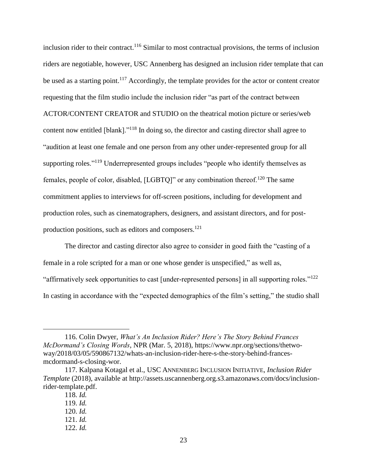inclusion rider to their contract.<sup>116</sup> Similar to most contractual provisions, the terms of inclusion riders are negotiable, however, USC Annenberg has designed an inclusion rider template that can be used as a starting point.<sup>117</sup> Accordingly, the template provides for the actor or content creator requesting that the film studio include the inclusion rider "as part of the contract between ACTOR/CONTENT CREATOR and STUDIO on the theatrical motion picture or series/web content now entitled [blank]."<sup>118</sup> In doing so, the director and casting director shall agree to "audition at least one female and one person from any other under-represented group for all supporting roles."<sup>119</sup> Underrepresented groups includes "people who identify themselves as females, people of color, disabled, [LGBTQ]" or any combination thereof.<sup>120</sup> The same commitment applies to interviews for off-screen positions, including for development and production roles, such as cinematographers, designers, and assistant directors, and for postproduction positions, such as editors and composers. 121

The director and casting director also agree to consider in good faith the "casting of a female in a role scripted for a man or one whose gender is unspecified," as well as, "affirmatively seek opportunities to cast [under-represented persons] in all supporting roles."<sup>122</sup> In casting in accordance with the "expected demographics of the film's setting," the studio shall

- 121. *Id.*
- 122. *Id.*

<sup>116.</sup> Colin Dwyer, *What's An Inclusion Rider? Here's The Story Behind Frances McDormand's Closing Words*, NPR (Mar. 5, 2018), https://www.npr.org/sections/thetwoway/2018/03/05/590867132/whats-an-inclusion-rider-here-s-the-story-behind-francesmcdormand-s-closing-wor.

<sup>117.</sup> Kalpana Kotagal et al., USC ANNENBERG INCLUSION INITIATIVE, *Inclusion Rider Template* (2018), available at http://assets.uscannenberg.org.s3.amazonaws.com/docs/inclusionrider-template.pdf.

<sup>118.</sup> *Id.* 

<sup>119.</sup> *Id.*

<sup>120.</sup> *Id.*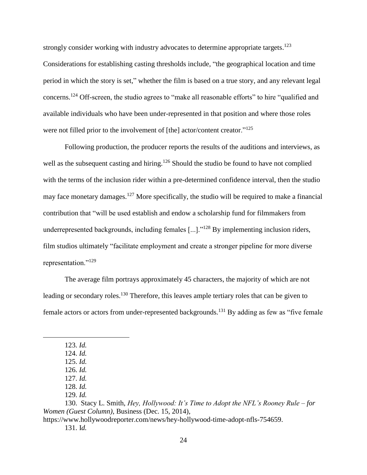strongly consider working with industry advocates to determine appropriate targets.<sup>123</sup> Considerations for establishing casting thresholds include, "the geographical location and time period in which the story is set," whether the film is based on a true story, and any relevant legal concerns.<sup>124</sup> Off-screen, the studio agrees to "make all reasonable efforts" to hire "qualified and available individuals who have been under-represented in that position and where those roles were not filled prior to the involvement of [the] actor/content creator."<sup>125</sup>

Following production, the producer reports the results of the auditions and interviews, as well as the subsequent casting and hiring.<sup>126</sup> Should the studio be found to have not complied with the terms of the inclusion rider within a pre-determined confidence interval, then the studio may face monetary damages.<sup>127</sup> More specifically, the studio will be required to make a financial contribution that "will be used establish and endow a scholarship fund for filmmakers from underrepresented backgrounds, including females [...]."<sup>128</sup> By implementing inclusion riders, film studios ultimately "facilitate employment and create a stronger pipeline for more diverse representation."<sup>129</sup>

The average film portrays approximately 45 characters, the majority of which are not leading or secondary roles.<sup>130</sup> Therefore, this leaves ample tertiary roles that can be given to female actors or actors from under-represented backgrounds.<sup>131</sup> By adding as few as "five female"

<sup>123.</sup> *Id.*

<sup>124.</sup> *Id.* 125. *Id.*

<sup>126.</sup> *Id.*

<sup>127.</sup> *Id.*

<sup>128.</sup> *Id.*

<sup>129.</sup> *Id.*

<sup>130.</sup> Stacy L. Smith, *Hey, Hollywood: It's Time to Adopt the NFL's Rooney Rule – for Women (Guest Column)*, Business (Dec. 15, 2014),

https://www.hollywoodreporter.com/news/hey-hollywood-time-adopt-nfls-754659. 131. I*d.*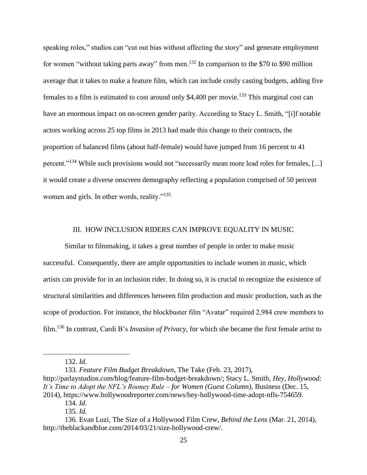speaking roles," studios can "cut out bias without affecting the story" and generate employment for women "without taking parts away" from men.<sup>132</sup> In comparison to the \$70 to \$90 million average that it takes to make a feature film, which can include costly casting budgets, adding five females to a film is estimated to cost around only \$4,400 per movie.<sup>133</sup> This marginal cost can have an enormous impact on on-screen gender parity. According to Stacy L. Smith, "[i]f notable actors working across 25 top films in 2013 had made this change to their contracts, the proportion of balanced films (about half-female) would have jumped from 16 percent to 41 percent."<sup>134</sup> While such provisions would not "necessarily mean more lead roles for females, [...] it would create a diverse onscreen demography reflecting a population comprised of 50 percent women and girls. In other words, reality."<sup>135</sup>

#### III. HOW INCLUSION RIDERS CAN IMPROVE EQUALITY IN MUSIC

Similar to filmmaking, it takes a great number of people in order to make music successful. Consequently, there are ample opportunities to include women in music, which artists can provide for in an inclusion rider. In doing so, it is crucial to recognize the existence of structural similarities and differences between film production and music production, such as the scope of production. For instance, the blockbuster film "Avatar" required 2,984 crew members to film.<sup>136</sup> In contrast, Cardi B's *Invasion of Privacy*, for which she became the first female artist to

 $\overline{a}$ 

133. *Feature Film Budget Breakdown*, The Take (Feb. 23, 2017), http://parlaystudios.com/blog/feature-film-budget-breakdown/; Stacy L. Smith, *Hey, Hollywood: It's Time to Adopt the NFL's Rooney Rule – for Women (Guest Column)*, Business (Dec. 15, 2014), https://www.hollywoodreporter.com/news/hey-hollywood-time-adopt-nfls-754659.

<sup>132.</sup> *Id.*

<sup>134.</sup> *Id.*

<sup>135.</sup> *Id.*

<sup>136.</sup> Evan Luzi, The Size of a Hollywood Film Crew, *Behind the Lens* (Mar. 21, 2014), http://theblackandblue.com/2014/03/21/size-hollywood-crew/.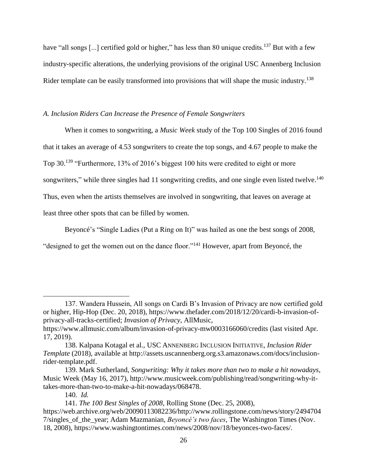have "all songs [...] certified gold or higher," has less than 80 unique credits.<sup>137</sup> But with a few industry-specific alterations, the underlying provisions of the original USC Annenberg Inclusion Rider template can be easily transformed into provisions that will shape the music industry.<sup>138</sup>

#### *A. Inclusion Riders Can Increase the Presence of Female Songwriters*

When it comes to songwriting, a *Music Week* study of the Top 100 Singles of 2016 found that it takes an average of 4.53 songwriters to create the top songs, and 4.67 people to make the Top 30.<sup>139</sup> "Furthermore, 13% of 2016's biggest 100 hits were credited to eight or more songwriters," while three singles had 11 songwriting credits, and one single even listed twelve.<sup>140</sup> Thus, even when the artists themselves are involved in songwriting, that leaves on average at least three other spots that can be filled by women.

Beyoncé's "Single Ladies (Put a Ring on It)" was hailed as one the best songs of 2008, "designed to get the women out on the dance floor."<sup>141</sup> However, apart from Beyoncé, the

<sup>137.</sup> Wandera Hussein, All songs on Cardi B's Invasion of Privacy are now certified gold or higher, Hip-Hop (Dec. 20, 2018), https://www.thefader.com/2018/12/20/cardi-b-invasion-ofprivacy-all-tracks-certified; *Invasion of Privacy*, AllMusic,

https://www.allmusic.com/album/invasion-of-privacy-mw0003166060/credits (last visited Apr. 17, 2019).

<sup>138.</sup> Kalpana Kotagal et al., USC ANNENBERG INCLUSION INITIATIVE, *Inclusion Rider Template* (2018), available at http://assets.uscannenberg.org.s3.amazonaws.com/docs/inclusionrider-template.pdf.

<sup>139.</sup> Mark Sutherland, *Songwriting: Why it takes more than two to make a hit nowadays*, Music Week (May 16, 2017), http://www.musicweek.com/publishing/read/songwriting-why-ittakes-more-than-two-to-make-a-hit-nowadays/068478.

<sup>140.</sup> *Id.*

<sup>141.</sup> *The 100 Best Singles of 2008*, Rolling Stone (Dec. 25, 2008),

https://web.archive.org/web/20090113082236/http://www.rollingstone.com/news/story/2494704 7/singles\_of\_the\_year; Adam Mazmanian, *Beyoncé's two faces*, The Washington Times (Nov. 18, 2008), https://www.washingtontimes.com/news/2008/nov/18/beyonces-two-faces/.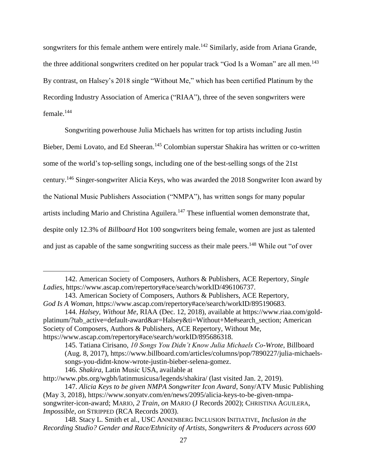songwriters for this female anthem were entirely male.<sup>142</sup> Similarly, aside from Ariana Grande, the three additional songwriters credited on her popular track "God Is a Woman" are all men.<sup>143</sup> By contrast, on Halsey's 2018 single "Without Me," which has been certified Platinum by the Recording Industry Association of America ("RIAA"), three of the seven songwriters were female.<sup>144</sup>

Songwriting powerhouse Julia Michaels has written for top artists including Justin Bieber, Demi Lovato, and Ed Sheeran.<sup>145</sup> Colombian superstar Shakira has written or co-written some of the world's top-selling songs, including one of the best-selling songs of the 21st century. <sup>146</sup> Singer-songwriter Alicia Keys, who was awarded the 2018 Songwriter Icon award by the National Music Publishers Association ("NMPA"), has written songs for many popular artists including Mario and Christina Aguilera.<sup>147</sup> These influential women demonstrate that, despite only 12.3% of *Billboard* Hot 100 songwriters being female, women are just as talented and just as capable of the same songwriting success as their male peers.<sup>148</sup> While out "of over

<sup>142.</sup> American Society of Composers, Authors & Publishers, ACE Repertory, *Single Ladies*, https://www.ascap.com/repertory#ace/search/workID/496106737.

<sup>143.</sup> American Society of Composers, Authors & Publishers, ACE Repertory, *God Is A Woman*, https://www.ascap.com/repertory#ace/search/workID/895190683.

<sup>144.</sup> *Halsey, Without Me*, RIAA (Dec. 12, 2018), available at https://www.riaa.com/goldplatinum/?tab\_active=default-award&ar=Halsey&ti=Without+Me#search\_section; American Society of Composers, Authors & Publishers, ACE Repertory, Without Me, https://www.ascap.com/repertory#ace/search/workID/895686318.

<sup>145.</sup> Tatiana Cirisano, *10 Songs You Didn't Know Julia Michaels Co-Wrote*, Billboard (Aug. 8, 2017), https://www.billboard.com/articles/columns/pop/7890227/julia-michaelssongs-you-didnt-know-wrote-justin-bieber-selena-gomez. 146. *Shakira*, Latin Music USA, available at

http://www.pbs.org/wgbh/latinmusicusa/legends/shakira/ (last visited Jan. 2, 2019).

<sup>147.</sup> *Alicia Keys to be given NMPA Songwriter Icon Award*, Sony/ATV Music Publishing (May 3, 2018), https://www.sonyatv.com/en/news/2095/alicia-keys-to-be-given-nmpasongwriter-icon-award; MARIO, *2 Train*, *on* MARIO (J Records 2002); CHRISTINA AGUILERA, *Impossible*, *on* STRIPPED (RCA Records 2003).

<sup>148.</sup> Stacy L. Smith et al., USC ANNENBERG INCLUSION INITIATIVE, *Inclusion in the Recording Studio? Gender and Race/Ethnicity of Artists, Songwriters & Producers across 600*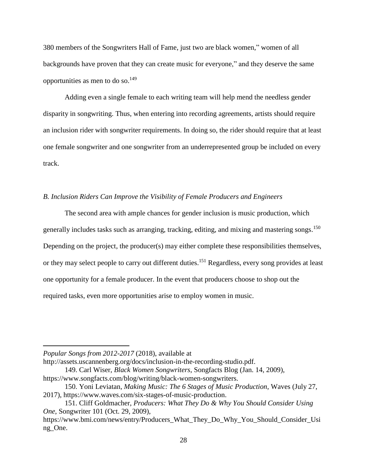380 members of the Songwriters Hall of Fame, just two are black women," women of all backgrounds have proven that they can create music for everyone," and they deserve the same opportunities as men to do so.<sup>149</sup>

Adding even a single female to each writing team will help mend the needless gender disparity in songwriting. Thus, when entering into recording agreements, artists should require an inclusion rider with songwriter requirements. In doing so, the rider should require that at least one female songwriter and one songwriter from an underrepresented group be included on every track.

#### *B. Inclusion Riders Can Improve the Visibility of Female Producers and Engineers*

The second area with ample chances for gender inclusion is music production, which generally includes tasks such as arranging, tracking, editing, and mixing and mastering songs.<sup>150</sup> Depending on the project, the producer(s) may either complete these responsibilities themselves, or they may select people to carry out different duties.<sup>151</sup> Regardless, every song provides at least one opportunity for a female producer. In the event that producers choose to shop out the required tasks, even more opportunities arise to employ women in music.

*Popular Songs from 2012-2017* (2018), available at

 $\overline{a}$ 

http://assets.uscannenberg.org/docs/inclusion-in-the-recording-studio.pdf.

149. Carl Wiser, *Black Women Songwriters*, Songfacts Blog (Jan. 14, 2009), https://www.songfacts.com/blog/writing/black-women-songwriters.

<sup>150.</sup> Yoni Leviatan, *Making Music: The 6 Stages of Music Production*, Waves (July 27, 2017), https://www.waves.com/six-stages-of-music-production.

<sup>151.</sup> Cliff Goldmacher, *Producers: What They Do & Why You Should Consider Using One*, Songwriter 101 (Oct. 29, 2009),

https://www.bmi.com/news/entry/Producers\_What\_They\_Do\_Why\_You\_Should\_Consider\_Usi ng\_One.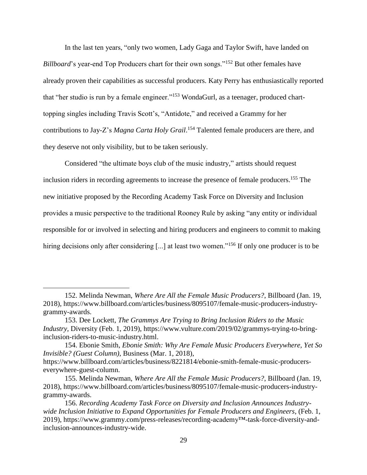In the last ten years, "only two women, Lady Gaga and Taylor Swift, have landed on *Billboard*'s year-end Top Producers chart for their own songs."<sup>152</sup> But other females have already proven their capabilities as successful producers. Katy Perry has enthusiastically reported that "her studio is run by a female engineer."<sup>153</sup> WondaGurl, as a teenager, produced charttopping singles including Travis Scott's, "Antidote," and received a Grammy for her contributions to Jay-Z's *Magna Carta Holy Grail*. <sup>154</sup> Talented female producers are there, and they deserve not only visibility, but to be taken seriously.

Considered "the ultimate boys club of the music industry," artists should request inclusion riders in recording agreements to increase the presence of female producers. <sup>155</sup> The new initiative proposed by the Recording Academy Task Force on Diversity and Inclusion provides a music perspective to the traditional Rooney Rule by asking "any entity or individual responsible for or involved in selecting and hiring producers and engineers to commit to making hiring decisions only after considering [...] at least two women."<sup>156</sup> If only one producer is to be

<sup>152.</sup> Melinda Newman, *Where Are All the Female Music Producers?*, Billboard (Jan. 19, 2018), https://www.billboard.com/articles/business/8095107/female-music-producers-industrygrammy-awards.

<sup>153.</sup> Dee Lockett, *The Grammys Are Trying to Bring Inclusion Riders to the Music Industry,* Diversity (Feb. 1, 2019), https://www.vulture.com/2019/02/grammys-trying-to-bringinclusion-riders-to-music-industry.html.

<sup>154.</sup> Ebonie Smith, *Ebonie Smith: Why Are Female Music Producers Everywhere, Yet So Invisible? (Guest Column)*, Business (Mar. 1, 2018), https://www.billboard.com/articles/business/8221814/ebonie-smith-female-music-producerseverywhere-guest-column.

<sup>155.</sup> Melinda Newman, *Where Are All the Female Music Producers?*, Billboard (Jan. 19, 2018), https://www.billboard.com/articles/business/8095107/female-music-producers-industrygrammy-awards.

<sup>156.</sup> *Recording Academy Task Force on Diversity and Inclusion Announces Industrywide Inclusion Initiative to Expand Opportunities for Female Producers and Engineers*, (Feb. 1, 2019), https://www.grammy.com/press-releases/recording-academy™-task-force-diversity-andinclusion-announces-industry-wide.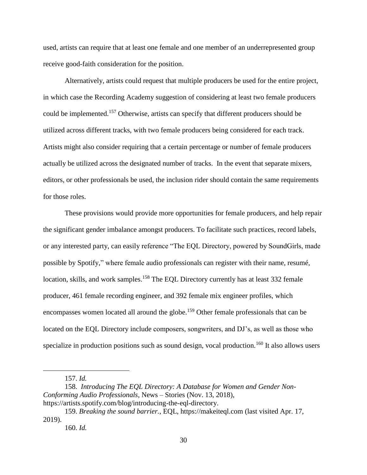used, artists can require that at least one female and one member of an underrepresented group receive good-faith consideration for the position.

Alternatively, artists could request that multiple producers be used for the entire project, in which case the Recording Academy suggestion of considering at least two female producers could be implemented.<sup>157</sup> Otherwise, artists can specify that different producers should be utilized across different tracks, with two female producers being considered for each track. Artists might also consider requiring that a certain percentage or number of female producers actually be utilized across the designated number of tracks. In the event that separate mixers, editors, or other professionals be used, the inclusion rider should contain the same requirements for those roles.

These provisions would provide more opportunities for female producers, and help repair the significant gender imbalance amongst producers. To facilitate such practices, record labels, or any interested party, can easily reference "The EQL Directory, powered by SoundGirls, made possible by Spotify," where female audio professionals can register with their name, resumé, location, skills, and work samples.<sup>158</sup> The EQL Directory currently has at least 332 female producer, 461 female recording engineer, and 392 female mix engineer profiles, which encompasses women located all around the globe.<sup>159</sup> Other female professionals that can be located on the EQL Directory include composers, songwriters, and DJ's, as well as those who specialize in production positions such as sound design, vocal production.<sup>160</sup> It also allows users

<sup>157.</sup> *Id.*

<sup>158.</sup> *Introducing The EQL Directory: A Database for Women and Gender Non-Conforming Audio Professionals*, News – Stories (Nov. 13, 2018), https://artists.spotify.com/blog/introducing-the-eql-directory.

<sup>159.</sup> *Breaking the sound barrier.*, EQL, https://makeiteql.com (last visited Apr. 17, 2019).

<sup>160.</sup> *Id.*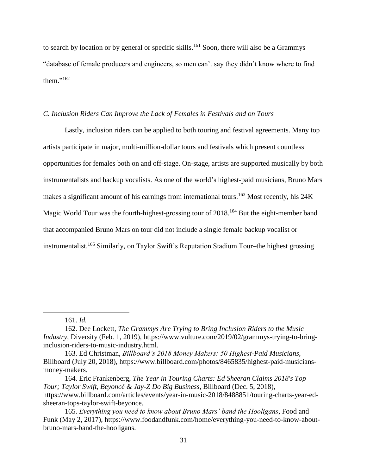to search by location or by general or specific skills.<sup>161</sup> Soon, there will also be a Grammys "database of female producers and engineers, so men can't say they didn't know where to find them." 162

#### *C. Inclusion Riders Can Improve the Lack of Females in Festivals and on Tours*

Lastly, inclusion riders can be applied to both touring and festival agreements. Many top artists participate in major, multi-million-dollar tours and festivals which present countless opportunities for females both on and off-stage. On-stage, artists are supported musically by both instrumentalists and backup vocalists. As one of the world's highest-paid musicians, Bruno Mars makes a significant amount of his earnings from international tours.<sup>163</sup> Most recently, his 24K Magic World Tour was the fourth-highest-grossing tour of 2018.<sup>164</sup> But the eight-member band that accompanied Bruno Mars on tour did not include a single female backup vocalist or instrumentalist. <sup>165</sup> Similarly, on Taylor Swift's Reputation Stadium Tour–the highest grossing

<sup>161.</sup> *Id.*

<sup>162.</sup> Dee Lockett, *The Grammys Are Trying to Bring Inclusion Riders to the Music Industry,* Diversity (Feb. 1, 2019), https://www.vulture.com/2019/02/grammys-trying-to-bringinclusion-riders-to-music-industry.html.

<sup>163.</sup> Ed Christman, *Billboard's 2018 Money Makers: 50 Highest-Paid Musicians*, Billboard (July 20, 2018), https://www.billboard.com/photos/8465835/highest-paid-musiciansmoney-makers.

<sup>164.</sup> Eric Frankenberg, *The Year in Touring Charts: Ed Sheeran Claims 2018's Top Tour; Taylor Swift, Beyoncé & Jay-Z Do Big Business*, Billboard (Dec. 5, 2018), https://www.billboard.com/articles/events/year-in-music-2018/8488851/touring-charts-year-edsheeran-tops-taylor-swift-beyonce.

<sup>165.</sup> *Everything you need to know about Bruno Mars' band the Hooligans*, Food and Funk (May 2, 2017), https://www.foodandfunk.com/home/everything-you-need-to-know-aboutbruno-mars-band-the-hooligans.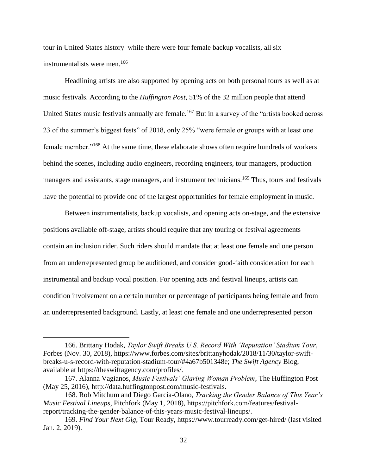tour in United States history–while there were four female backup vocalists, all six instrumentalists were men.<sup>166</sup>

Headlining artists are also supported by opening acts on both personal tours as well as at music festivals. According to the *Huffington Post*, 51% of the 32 million people that attend United States music festivals annually are female.<sup>167</sup> But in a survey of the "artists booked across" 23 of the summer's biggest fests" of 2018, only 25% "were female or groups with at least one female member."<sup>168</sup> At the same time, these elaborate shows often require hundreds of workers behind the scenes, including audio engineers, recording engineers, tour managers, production managers and assistants, stage managers, and instrument technicians.<sup>169</sup> Thus, tours and festivals have the potential to provide one of the largest opportunities for female employment in music.

Between instrumentalists, backup vocalists, and opening acts on-stage, and the extensive positions available off-stage, artists should require that any touring or festival agreements contain an inclusion rider. Such riders should mandate that at least one female and one person from an underrepresented group be auditioned, and consider good-faith consideration for each instrumental and backup vocal position. For opening acts and festival lineups, artists can condition involvement on a certain number or percentage of participants being female and from an underrepresented background. Lastly, at least one female and one underrepresented person

<sup>166.</sup> Brittany Hodak, *Taylor Swift Breaks U.S. Record With 'Reputation' Stadium Tour*, Forbes (Nov. 30, 2018), https://www.forbes.com/sites/brittanyhodak/2018/11/30/taylor-swiftbreaks-u-s-record-with-reputation-stadium-tour/#4a67b501348e; *The Swift Agency* Blog, available at https://theswiftagency.com/profiles/.

<sup>167.</sup> Alanna Vagianos, *Music Festivals' Glaring Woman Problem*, The Huffington Post (May 25, 2016), http://data.huffingtonpost.com/music-festivals.

<sup>168.</sup> Rob Mitchum and Diego Garcia-Olano, *Tracking the Gender Balance of This Year's Music Festival Lineups*, Pitchfork (May 1, 2018), https://pitchfork.com/features/festivalreport/tracking-the-gender-balance-of-this-years-music-festival-lineups/.

<sup>169.</sup> *Find Your Next Gig*, Tour Ready, https://www.tourready.com/get-hired/ (last visited Jan. 2, 2019).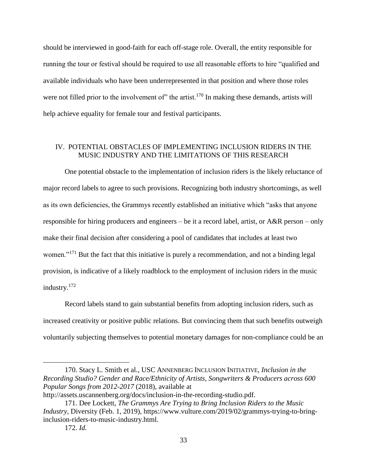should be interviewed in good-faith for each off-stage role. Overall, the entity responsible for running the tour or festival should be required to use all reasonable efforts to hire "qualified and available individuals who have been underrepresented in that position and where those roles were not filled prior to the involvement of" the artist.<sup>170</sup> In making these demands, artists will help achieve equality for female tour and festival participants.

#### IV. POTENTIAL OBSTACLES OF IMPLEMENTING INCLUSION RIDERS IN THE MUSIC INDUSTRY AND THE LIMITATIONS OF THIS RESEARCH

One potential obstacle to the implementation of inclusion riders is the likely reluctance of major record labels to agree to such provisions. Recognizing both industry shortcomings, as well as its own deficiencies, the Grammys recently established an initiative which "asks that anyone responsible for hiring producers and engineers – be it a record label, artist, or A&R person – only make their final decision after considering a pool of candidates that includes at least two women."<sup>171</sup> But the fact that this initiative is purely a recommendation, and not a binding legal provision, is indicative of a likely roadblock to the employment of inclusion riders in the music industry. 172

Record labels stand to gain substantial benefits from adopting inclusion riders, such as increased creativity or positive public relations. But convincing them that such benefits outweigh voluntarily subjecting themselves to potential monetary damages for non-compliance could be an

<sup>170.</sup> Stacy L. Smith et al., USC ANNENBERG INCLUSION INITIATIVE, *Inclusion in the Recording Studio? Gender and Race/Ethnicity of Artists, Songwriters & Producers across 600 Popular Songs from 2012-2017* (2018), available at

http://assets.uscannenberg.org/docs/inclusion-in-the-recording-studio.pdf.

<sup>171.</sup> Dee Lockett, *The Grammys Are Trying to Bring Inclusion Riders to the Music Industry,* Diversity (Feb. 1, 2019), https://www.vulture.com/2019/02/grammys-trying-to-bringinclusion-riders-to-music-industry.html.

<sup>172.</sup> *Id.*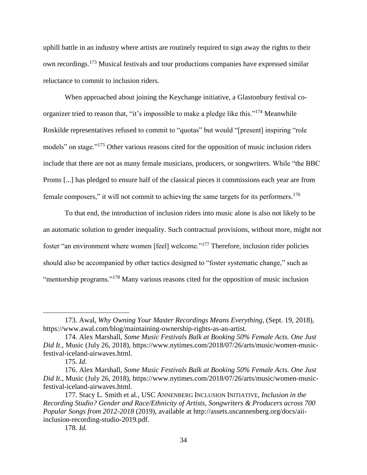uphill battle in an industry where artists are routinely required to sign away the rights to their own recordings.<sup>173</sup> Musical festivals and tour productions companies have expressed similar reluctance to commit to inclusion riders.

When approached about joining the Keychange initiative, a Glastonbury festival coorganizer tried to reason that, "it's impossible to make a pledge like this."<sup>174</sup> Meanwhile Roskilde representatives refused to commit to "quotas" but would "[present] inspiring "role models" on stage."<sup>175</sup> Other various reasons cited for the opposition of music inclusion riders include that there are not as many female musicians, producers, or songwriters. While "the BBC Proms [...] has pledged to ensure half of the classical pieces it commissions each year are from female composers," it will not commit to achieving the same targets for its performers.<sup>176</sup>

To that end, the introduction of inclusion riders into music alone is also not likely to be an automatic solution to gender inequality. Such contractual provisions, without more, might not foster "an environment where women [feel] welcome."<sup>177</sup> Therefore, inclusion rider policies should also be accompanied by other tactics designed to "foster systematic change," such as "mentorship programs."<sup>178</sup> Many various reasons cited for the opposition of music inclusion

<sup>173.</sup> Awal, *Why Owning Your Master Recordings Means Everything*, (Sept. 19, 2018), https://www.awal.com/blog/maintaining-ownership-rights-as-an-artist.

<sup>174.</sup> Alex Marshall, *Some Music Festivals Balk at Booking 50% Female Acts. One Just Did It.*, Music (July 26, 2018), https://www.nytimes.com/2018/07/26/arts/music/women-musicfestival-iceland-airwaves.html.

<sup>175.</sup> *Id.*

<sup>176.</sup> Alex Marshall, *Some Music Festivals Balk at Booking 50% Female Acts. One Just Did It.*, Music (July 26, 2018), https://www.nytimes.com/2018/07/26/arts/music/women-musicfestival-iceland-airwaves.html.

<sup>177.</sup> Stacy L. Smith et al., USC ANNENBERG INCLUSION INITIATIVE, *Inclusion in the Recording Studio? Gender and Race/Ethnicity of Artists, Songwriters & Producers across 700 Popular Songs from 2012-2018* (2019), available at http://assets.uscannenberg.org/docs/aiiinclusion-recording-studio-2019.pdf.

<sup>178.</sup> *Id.*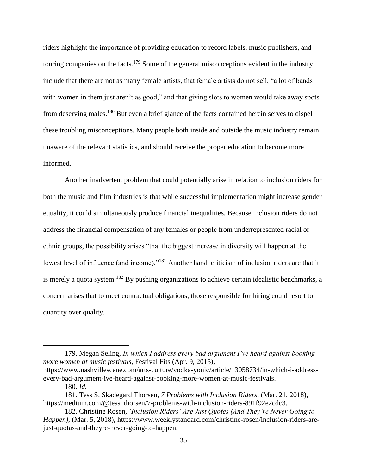riders highlight the importance of providing education to record labels, music publishers, and touring companies on the facts.<sup>179</sup> Some of the general misconceptions evident in the industry include that there are not as many female artists, that female artists do not sell, "a lot of bands with women in them just aren't as good," and that giving slots to women would take away spots from deserving males.<sup>180</sup> But even a brief glance of the facts contained herein serves to dispel these troubling misconceptions. Many people both inside and outside the music industry remain unaware of the relevant statistics, and should receive the proper education to become more informed.

Another inadvertent problem that could potentially arise in relation to inclusion riders for both the music and film industries is that while successful implementation might increase gender equality, it could simultaneously produce financial inequalities. Because inclusion riders do not address the financial compensation of any females or people from underrepresented racial or ethnic groups, the possibility arises "that the biggest increase in diversity will happen at the lowest level of influence (and income)."<sup>181</sup> Another harsh criticism of inclusion riders are that it is merely a quota system.<sup>182</sup> By pushing organizations to achieve certain idealistic benchmarks, a concern arises that to meet contractual obligations, those responsible for hiring could resort to quantity over quality.

<sup>179.</sup> Megan Seling, *In which I address every bad argument I've heard against booking more women at music festivals*, Festival Fits (Apr. 9, 2015),

https://www.nashvillescene.com/arts-culture/vodka-yonic/article/13058734/in-which-i-addressevery-bad-argument-ive-heard-against-booking-more-women-at-music-festivals.

<sup>180.</sup> *Id.*

<sup>181.</sup> Tess S. Skadegard Thorsen, *7 Problems with Inclusion Riders*, (Mar. 21, 2018), https://medium.com/@tess\_thorsen/7-problems-with-inclusion-riders-891f92e2cdc3.

<sup>182.</sup> Christine Rosen, *'Inclusion Riders' Are Just Quotes (And They're Never Going to Happen)*, (Mar. 5, 2018), https://www.weeklystandard.com/christine-rosen/inclusion-riders-arejust-quotas-and-theyre-never-going-to-happen.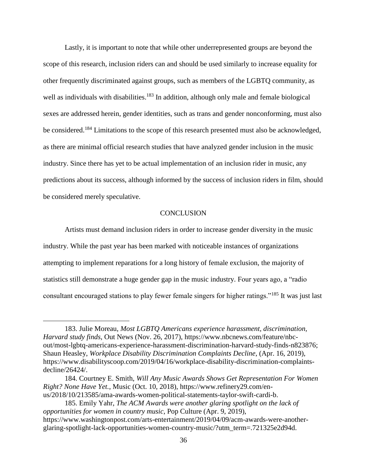Lastly, it is important to note that while other underrepresented groups are beyond the scope of this research, inclusion riders can and should be used similarly to increase equality for other frequently discriminated against groups, such as members of the LGBTQ community, as well as individuals with disabilities.<sup>183</sup> In addition, although only male and female biological sexes are addressed herein, gender identities, such as trans and gender nonconforming, must also be considered.<sup>184</sup> Limitations to the scope of this research presented must also be acknowledged, as there are minimal official research studies that have analyzed gender inclusion in the music industry. Since there has yet to be actual implementation of an inclusion rider in music, any predictions about its success, although informed by the success of inclusion riders in film, should be considered merely speculative.

#### **CONCLUSION**

Artists must demand inclusion riders in order to increase gender diversity in the music industry. While the past year has been marked with noticeable instances of organizations attempting to implement reparations for a long history of female exclusion, the majority of statistics still demonstrate a huge gender gap in the music industry. Four years ago, a "radio consultant encouraged stations to play fewer female singers for higher ratings."<sup>185</sup> It was just last

<sup>183.</sup> Julie Moreau, *Most LGBTQ Americans experience harassment, discrimination, Harvard study finds,* Out News (Nov. 26, 2017), https://www.nbcnews.com/feature/nbcout/most-lgbtq-americans-experience-harassment-discrimination-harvard-study-finds-n823876; Shaun Heasley, *Workplace Disability Discrimination Complaints Decline*, (Apr. 16, 2019), https://www.disabilityscoop.com/2019/04/16/workplace-disability-discrimination-complaintsdecline/26424/.

<sup>184.</sup> Courtney E. Smith, *Will Any Music Awards Shows Get Representation For Women Right? None Have Yet.*, Music (Oct. 10, 2018), https://www.refinery29.com/enus/2018/10/213585/ama-awards-women-political-statements-taylor-swift-cardi-b.

<sup>185.</sup> Emily Yahr, *The ACM Awards were another glaring spotlight on the lack of opportunities for women in country music*, Pop Culture (Apr. 9, 2019), https://www.washingtonpost.com/arts-entertainment/2019/04/09/acm-awards-were-anotherglaring-spotlight-lack-opportunities-women-country-music/?utm\_term=.721325e2d94d.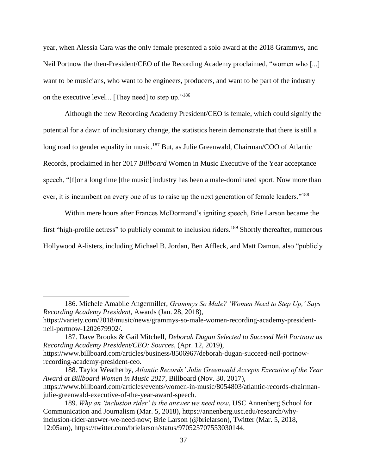year, when Alessia Cara was the only female presented a solo award at the 2018 Grammys, and Neil Portnow the then-President/CEO of the Recording Academy proclaimed, "women who [...] want to be musicians, who want to be engineers, producers, and want to be part of the industry on the executive level... [They need] to step up."<sup>186</sup>

Although the new Recording Academy President/CEO is female, which could signify the potential for a dawn of inclusionary change, the statistics herein demonstrate that there is still a long road to gender equality in music.<sup>187</sup> But, as Julie Greenwald, Chairman/COO of Atlantic Records, proclaimed in her 2017 *Billboard* Women in Music Executive of the Year acceptance speech, "[f]or a long time [the music] industry has been a male-dominated sport. Now more than ever, it is incumbent on every one of us to raise up the next generation of female leaders."<sup>188</sup>

Within mere hours after Frances McDormand's igniting speech, Brie Larson became the first "high-profile actress" to publicly commit to inclusion riders.<sup>189</sup> Shortly thereafter, numerous Hollywood A-listers, including Michael B. Jordan, Ben Affleck, and Matt Damon, also "publicly

<sup>186.</sup> Michele Amabile Angermiller, *Grammys So Male? 'Women Need to Step Up,' Says Recording Academy President*, Awards (Jan. 28, 2018),

https://variety.com/2018/music/news/grammys-so-male-women-recording-academy-presidentneil-portnow-1202679902/.

<sup>187.</sup> Dave Brooks & Gail Mitchell, *Deborah Dugan Selected to Succeed Neil Portnow as Recording Academy President/CEO: Sources*, (Apr. 12, 2019), https://www.billboard.com/articles/business/8506967/deborah-dugan-succeed-neil-portnowrecording-academy-president-ceo.

<sup>188.</sup> Taylor Weatherby, *Atlantic Records' Julie Greenwald Accepts Executive of the Year Award at Billboard Women in Music 2017*, Billboard (Nov. 30, 2017), https://www.billboard.com/articles/events/women-in-music/8054803/atlantic-records-chairmanjulie-greenwald-executive-of-the-year-award-speech.

<sup>189.</sup> *Why an 'inclusion rider' is the answer we need now*, USC Annenberg School for Communication and Journalism (Mar. 5, 2018), https://annenberg.usc.edu/research/whyinclusion-rider-answer-we-need-now; Brie Larson (@brielarson), Twitter (Mar. 5, 2018, 12:05am), https://twitter.com/brielarson/status/970525707553030144.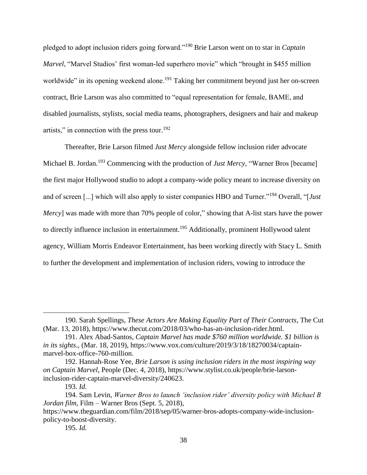pledged to adopt inclusion riders going forward."<sup>190</sup> Brie Larson went on to star in *Captain Marvel*, "Marvel Studios' first woman-led superhero movie" which "brought in \$455 million worldwide" in its opening weekend alone.<sup>191</sup> Taking her commitment beyond just her on-screen contract, Brie Larson was also committed to "equal representation for female, BAME, and disabled journalists, stylists, social media teams, photographers, designers and hair and makeup artists," in connection with the press tour. $192$ 

Thereafter, Brie Larson filmed *Just Mercy* alongside fellow inclusion rider advocate Michael B. Jordan.<sup>193</sup> Commencing with the production of *Just Mercy*, "Warner Bros [became] the first major Hollywood studio to adopt a company-wide policy meant to increase diversity on and of screen [...] which will also apply to sister companies HBO and Turner."<sup>194</sup> Overall, "[*Just Mercy*] was made with more than 70% people of color," showing that A-list stars have the power to directly influence inclusion in entertainment.<sup>195</sup> Additionally, prominent Hollywood talent agency, William Morris Endeavor Entertainment, has been working directly with Stacy L. Smith to further the development and implementation of inclusion riders, vowing to introduce the

<sup>190.</sup> Sarah Spellings, *These Actors Are Making Equality Part of Their Contracts*, The Cut (Mar. 13, 2018), https://www.thecut.com/2018/03/who-has-an-inclusion-rider.html.

<sup>191.</sup> Alex Abad-Santos, *Captain Marvel has made \$760 million worldwide. \$1 billion is in its sights*., (Mar. 18, 2019), https://www.vox.com/culture/2019/3/18/18270034/captainmarvel-box-office-760-million.

<sup>192.</sup> Hannah-Rose Yee, *Brie Larson is using inclusion riders in the most inspiring way on Captain Marvel*, People (Dec. 4, 2018), https://www.stylist.co.uk/people/brie-larsoninclusion-rider-captain-marvel-diversity/240623.

<sup>193.</sup> *Id.*

<sup>194.</sup> Sam Levin, *Warner Bros to launch 'inclusion rider' diversity policy with Michael B Jordan film*, Film – Warner Bros (Sept. 5, 2018),

https://www.theguardian.com/film/2018/sep/05/warner-bros-adopts-company-wide-inclusionpolicy-to-boost-diversity.

<sup>195.</sup> *Id.*